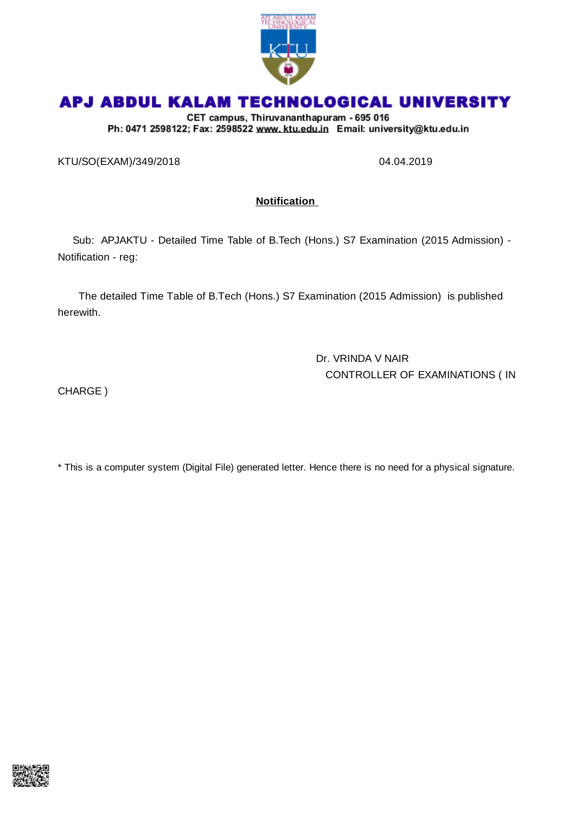

# APJ ABDUL KALAM TECHNOLOGICAL UNIVERSITY

CET campus, Thiruvananthapuram - 695 016 Ph: 0471 2598122; Fax: 2598522 www.ktu.edu.in Email: university@ktu.edu.in

KTU/SO(EXAM)/349/2018 04.04.2019

### **Notification**

Sub: APJAKTU - Detailed Time Table of B.Tech (Hons.) S7 Examination (2015 Admission) - Notification - reg:

The detailed Time Table of B.Tech (Hons.) S7 Examination (2015 Admission) is published herewith.

> Dr. VRINDA V NAIR CONTROLLER OF EXAMINATIONS ( IN

CHARGE )

\* This is a computer system (Digital File) generated letter. Hence there is no need for a physical signature.

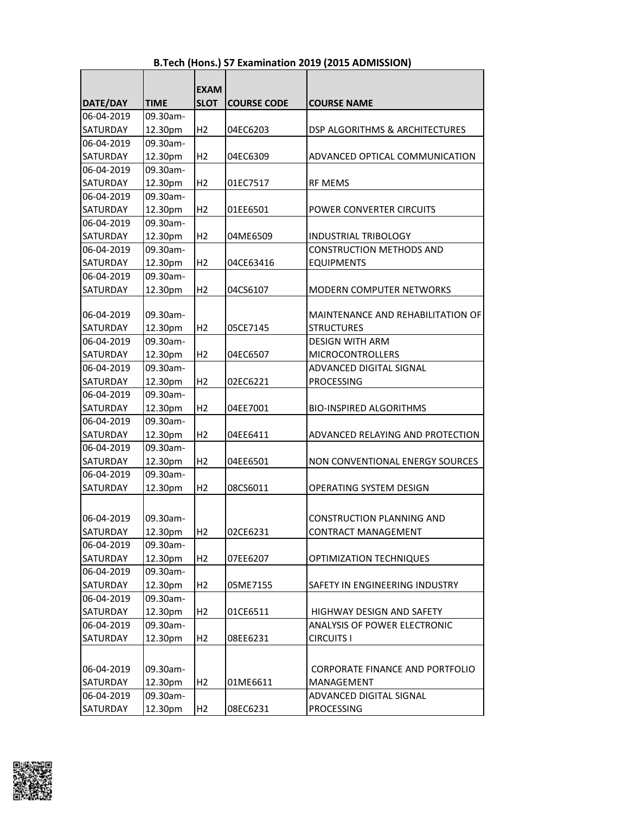|                 |             | <b>EXAM</b>    |                    |                                   |
|-----------------|-------------|----------------|--------------------|-----------------------------------|
| DATE/DAY        | <b>TIME</b> | <b>SLOT</b>    | <b>COURSE CODE</b> | <b>COURSE NAME</b>                |
| 06-04-2019      | 09.30am-    |                |                    |                                   |
| <b>SATURDAY</b> | 12.30pm     | H <sub>2</sub> | 04EC6203           | DSP ALGORITHMS & ARCHITECTURES    |
| 06-04-2019      | 09.30am-    |                |                    |                                   |
| <b>SATURDAY</b> | 12.30pm     | H <sub>2</sub> | 04EC6309           | ADVANCED OPTICAL COMMUNICATION    |
| 06-04-2019      | 09.30am-    |                |                    |                                   |
| <b>SATURDAY</b> | 12.30pm     | H <sub>2</sub> | 01EC7517           | <b>RF MEMS</b>                    |
| 06-04-2019      | 09.30am-    |                |                    |                                   |
| <b>SATURDAY</b> | 12.30pm     | H <sub>2</sub> | 01EE6501           | POWER CONVERTER CIRCUITS          |
| 06-04-2019      | 09.30am-    |                |                    |                                   |
| <b>SATURDAY</b> | 12.30pm     | H <sub>2</sub> | 04ME6509           | <b>INDUSTRIAL TRIBOLOGY</b>       |
| 06-04-2019      | 09.30am-    |                |                    | <b>CONSTRUCTION METHODS AND</b>   |
| <b>SATURDAY</b> | 12.30pm     | H <sub>2</sub> | 04CE63416          | <b>EQUIPMENTS</b>                 |
| 06-04-2019      | 09.30am-    |                |                    |                                   |
| <b>SATURDAY</b> | 12.30pm     | H <sub>2</sub> | 04CS6107           | MODERN COMPUTER NETWORKS          |
|                 |             |                |                    |                                   |
| 06-04-2019      | 09.30am-    |                |                    | MAINTENANCE AND REHABILITATION OF |
| <b>SATURDAY</b> | 12.30pm     | H <sub>2</sub> | 05CE7145           | <b>STRUCTURES</b>                 |
| 06-04-2019      | 09.30am-    |                |                    | <b>DESIGN WITH ARM</b>            |
| <b>SATURDAY</b> | 12.30pm     | H <sub>2</sub> | 04EC6507           | <b>MICROCONTROLLERS</b>           |
| 06-04-2019      | 09.30am-    |                |                    | ADVANCED DIGITAL SIGNAL           |
| <b>SATURDAY</b> | 12.30pm     | H <sub>2</sub> | 02EC6221           | <b>PROCESSING</b>                 |
| 06-04-2019      | 09.30am-    |                |                    |                                   |
| <b>SATURDAY</b> | 12.30pm     | H <sub>2</sub> | 04EE7001           | <b>BIO-INSPIRED ALGORITHMS</b>    |
| 06-04-2019      | 09.30am-    |                |                    |                                   |
| <b>SATURDAY</b> | 12.30pm     | H <sub>2</sub> | 04EE6411           | ADVANCED RELAYING AND PROTECTION  |
| 06-04-2019      | 09.30am-    |                |                    |                                   |
| <b>SATURDAY</b> | 12.30pm     | H <sub>2</sub> | 04EE6501           | NON CONVENTIONAL ENERGY SOURCES   |
| 06-04-2019      | 09.30am-    |                |                    |                                   |
| <b>SATURDAY</b> | 12.30pm     | H <sub>2</sub> | 08CS6011           | <b>OPERATING SYSTEM DESIGN</b>    |
|                 |             |                |                    |                                   |
| 06-04-2019      | 09.30am-    |                |                    | <b>CONSTRUCTION PLANNING AND</b>  |
| <b>SATURDAY</b> | 12.30pm     | Η2             | 02CE6231           | <b>CONTRACT MANAGEMENT</b>        |
| 06-04-2019      | 09.30am-    |                |                    |                                   |
| SATURDAY        | 12.30pm     | H <sub>2</sub> | 07EE6207           | OPTIMIZATION TECHNIQUES           |
| 06-04-2019      | 09.30am-    |                |                    |                                   |
| SATURDAY        | 12.30pm     | H <sub>2</sub> | 05ME7155           | SAFETY IN ENGINEERING INDUSTRY    |
| 06-04-2019      | 09.30am-    |                |                    |                                   |
| <b>SATURDAY</b> | 12.30pm     | H <sub>2</sub> | 01CE6511           | HIGHWAY DESIGN AND SAFETY         |
| 06-04-2019      | 09.30am-    |                |                    | ANALYSIS OF POWER ELECTRONIC      |
| SATURDAY        | 12.30pm     | H <sub>2</sub> | 08EE6231           | <b>CIRCUITS I</b>                 |
|                 |             |                |                    |                                   |
|                 |             |                |                    |                                   |
| 06-04-2019      | 09.30am-    |                |                    | CORPORATE FINANCE AND PORTFOLIO   |
| SATURDAY        | 12.30pm     | H <sub>2</sub> | 01ME6611           | MANAGEMENT                        |
| 06-04-2019      | 09.30am-    |                |                    | ADVANCED DIGITAL SIGNAL           |
| SATURDAY        | 12.30pm     | H2             | 08EC6231           | <b>PROCESSING</b>                 |

#### **B.Tech (Hons.) S7 Examination 2019 (2015 ADMISSION)**

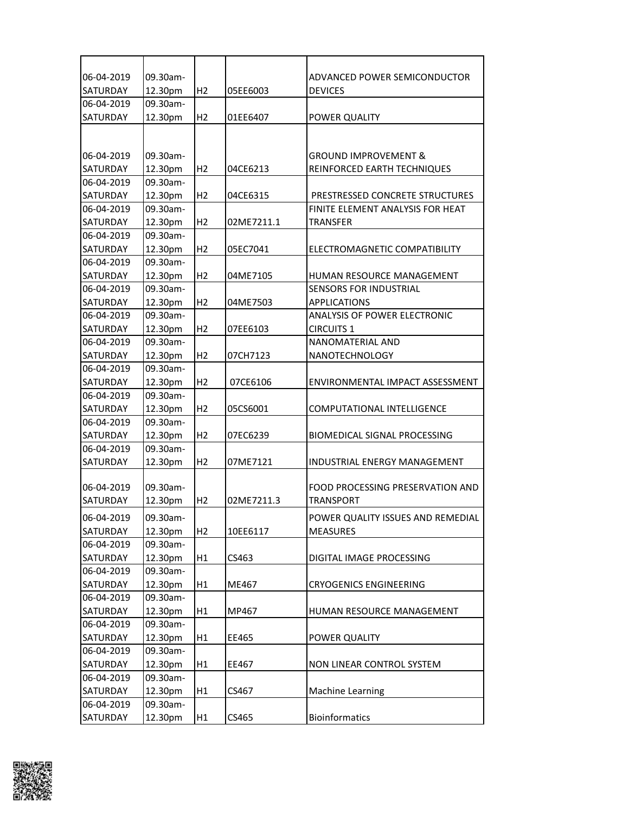| 06-04-2019      | 09.30am- |                |            | ADVANCED POWER SEMICONDUCTOR        |
|-----------------|----------|----------------|------------|-------------------------------------|
| SATURDAY        | 12.30pm  | H2             | 05EE6003   | <b>DEVICES</b>                      |
| 06-04-2019      | 09.30am- |                |            |                                     |
| SATURDAY        | 12.30pm  | H <sub>2</sub> | 01EE6407   | POWER QUALITY                       |
|                 |          |                |            |                                     |
|                 |          |                |            |                                     |
| 06-04-2019      | 09.30am- |                |            | GROUND IMPROVEMENT &                |
| SATURDAY        | 12.30pm  | H <sub>2</sub> | 04CE6213   | REINFORCED EARTH TECHNIQUES         |
| 06-04-2019      | 09.30am- |                |            |                                     |
| SATURDAY        | 12.30pm  | H2             | 04CE6315   | PRESTRESSED CONCRETE STRUCTURES     |
| 06-04-2019      | 09.30am- |                |            | FINITE ELEMENT ANALYSIS FOR HEAT    |
| SATURDAY        | 12.30pm  | H <sub>2</sub> | 02ME7211.1 | <b>TRANSFER</b>                     |
| 06-04-2019      | 09.30am- |                |            |                                     |
| SATURDAY        | 12.30pm  | H <sub>2</sub> | 05EC7041   | ELECTROMAGNETIC COMPATIBILITY       |
| 06-04-2019      | 09.30am- |                |            |                                     |
| SATURDAY        | 12.30pm  | H2             | 04ME7105   | HUMAN RESOURCE MANAGEMENT           |
| 06-04-2019      | 09.30am- |                |            | SENSORS FOR INDUSTRIAL              |
| SATURDAY        | 12.30pm  | H <sub>2</sub> | 04ME7503   | <b>APPLICATIONS</b>                 |
| 06-04-2019      | 09.30am- |                |            | <b>ANALYSIS OF POWER ELECTRONIC</b> |
| SATURDAY        | 12.30pm  | H <sub>2</sub> | 07EE6103   | <b>CIRCUITS 1</b>                   |
| 06-04-2019      | 09.30am- |                |            | NANOMATERIAL AND                    |
| SATURDAY        | 12.30pm  | H2             | 07CH7123   | NANOTECHNOLOGY                      |
| 06-04-2019      | 09.30am- |                |            |                                     |
| SATURDAY        | 12.30pm  | H <sub>2</sub> | 07CE6106   | ENVIRONMENTAL IMPACT ASSESSMENT     |
| 06-04-2019      | 09.30am- |                |            |                                     |
| SATURDAY        | 12.30pm  | H <sub>2</sub> | 05CS6001   | COMPUTATIONAL INTELLIGENCE          |
| 06-04-2019      | 09.30am- |                |            |                                     |
| SATURDAY        | 12.30pm  | H <sub>2</sub> | 07EC6239   | BIOMEDICAL SIGNAL PROCESSING        |
| 06-04-2019      | 09.30am- |                |            |                                     |
| SATURDAY        | 12.30pm  | H <sub>2</sub> | 07ME7121   | INDUSTRIAL ENERGY MANAGEMENT        |
|                 |          |                |            |                                     |
| 06-04-2019      | 09.30am- |                |            | FOOD PROCESSING PRESERVATION AND    |
| SATURDAY        | 12.30pm  | H <sub>2</sub> | 02ME7211.3 | <b>TRANSPORT</b>                    |
| 06-04-2019      | 09.30am- |                |            | POWER QUALITY ISSUES AND REMEDIAL   |
| <b>SATURDAY</b> | 12.30pm  | H <sub>2</sub> | 10EE6117   | <b>MEASURES</b>                     |
| 06-04-2019      | 09.30am- |                |            |                                     |
| SATURDAY        | 12.30pm  | H1             | CS463      | DIGITAL IMAGE PROCESSING            |
| 06-04-2019      | 09.30am- |                |            |                                     |
| SATURDAY        | 12.30pm  | H1             | ME467      | <b>CRYOGENICS ENGINEERING</b>       |
| 06-04-2019      | 09.30am- |                |            |                                     |
| SATURDAY        | 12.30pm  | H1             | MP467      | HUMAN RESOURCE MANAGEMENT           |
| 06-04-2019      | 09.30am- |                |            |                                     |
| SATURDAY        | 12.30pm  | H1             | EE465      | POWER QUALITY                       |
| 06-04-2019      | 09.30am- |                |            |                                     |
| SATURDAY        | 12.30pm  | H1             | EE467      | NON LINEAR CONTROL SYSTEM           |
| 06-04-2019      | 09.30am- |                |            |                                     |
| SATURDAY        | 12.30pm  | H1             | CS467      | Machine Learning                    |
| 06-04-2019      | 09.30am- |                |            |                                     |
| SATURDAY        | 12.30pm  | H1             | CS465      | <b>Bioinformatics</b>               |
|                 |          |                |            |                                     |